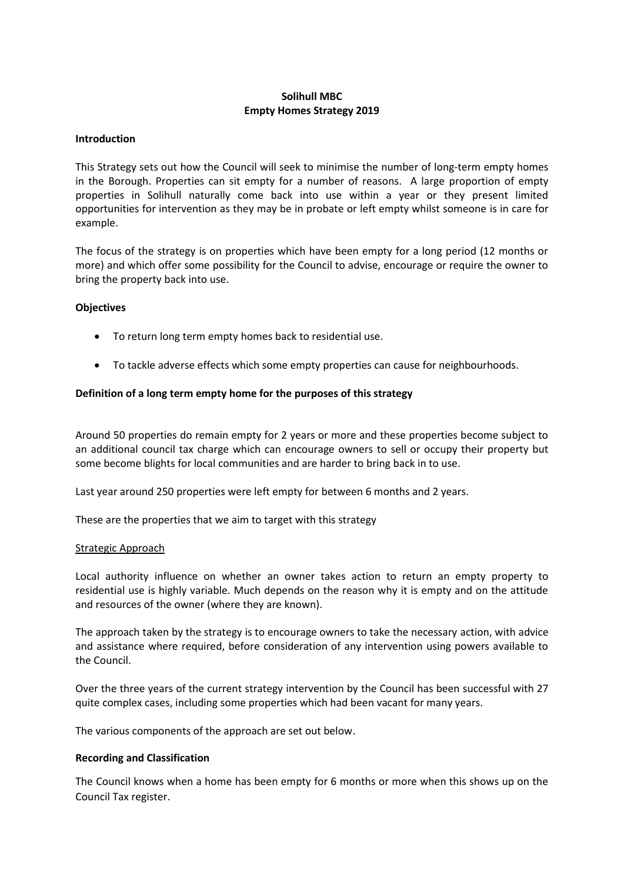# **Solihull MBC Empty Homes Strategy 2019**

#### **Introduction**

This Strategy sets out how the Council will seek to minimise the number of long-term empty homes in the Borough. Properties can sit empty for a number of reasons. A large proportion of empty properties in Solihull naturally come back into use within a year or they present limited opportunities for intervention as they may be in probate or left empty whilst someone is in care for example.

The focus of the strategy is on properties which have been empty for a long period (12 months or more) and which offer some possibility for the Council to advise, encourage or require the owner to bring the property back into use.

## **Objectives**

- To return long term empty homes back to residential use.
- To tackle adverse effects which some empty properties can cause for neighbourhoods.

#### **Definition of a long term empty home for the purposes of this strategy**

Around 50 properties do remain empty for 2 years or more and these properties become subject to an additional council tax charge which can encourage owners to sell or occupy their property but some become blights for local communities and are harder to bring back in to use.

Last year around 250 properties were left empty for between 6 months and 2 years.

These are the properties that we aim to target with this strategy

#### Strategic Approach

Local authority influence on whether an owner takes action to return an empty property to residential use is highly variable. Much depends on the reason why it is empty and on the attitude and resources of the owner (where they are known).

The approach taken by the strategy is to encourage owners to take the necessary action, with advice and assistance where required, before consideration of any intervention using powers available to the Council.

Over the three years of the current strategy intervention by the Council has been successful with 27 quite complex cases, including some properties which had been vacant for many years.

The various components of the approach are set out below.

## **Recording and Classification**

The Council knows when a home has been empty for 6 months or more when this shows up on the Council Tax register.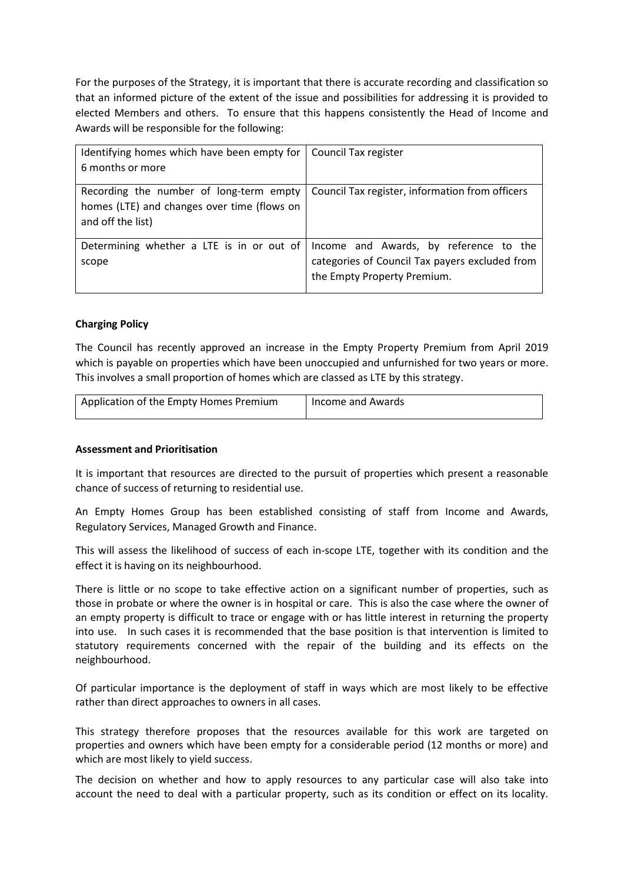For the purposes of the Strategy, it is important that there is accurate recording and classification so that an informed picture of the extent of the issue and possibilities for addressing it is provided to elected Members and others. To ensure that this happens consistently the Head of Income and Awards will be responsible for the following:

| Identifying homes which have been empty for  <br>6 months or more                                           | Council Tax register                                                                                                    |
|-------------------------------------------------------------------------------------------------------------|-------------------------------------------------------------------------------------------------------------------------|
| Recording the number of long-term empty<br>homes (LTE) and changes over time (flows on<br>and off the list) | Council Tax register, information from officers                                                                         |
| Determining whether a LTE is in or out of $\vert$<br>scope                                                  | Income and Awards, by reference to the<br>categories of Council Tax payers excluded from<br>the Empty Property Premium. |

# **Charging Policy**

The Council has recently approved an increase in the Empty Property Premium from April 2019 which is payable on properties which have been unoccupied and unfurnished for two years or more. This involves a small proportion of homes which are classed as LTE by this strategy.

| Application of the Empty Homes Premium | Income and Awards |
|----------------------------------------|-------------------|
|----------------------------------------|-------------------|

## **Assessment and Prioritisation**

It is important that resources are directed to the pursuit of properties which present a reasonable chance of success of returning to residential use.

An Empty Homes Group has been established consisting of staff from Income and Awards, Regulatory Services, Managed Growth and Finance.

This will assess the likelihood of success of each in-scope LTE, together with its condition and the effect it is having on its neighbourhood.

There is little or no scope to take effective action on a significant number of properties, such as those in probate or where the owner is in hospital or care. This is also the case where the owner of an empty property is difficult to trace or engage with or has little interest in returning the property into use. In such cases it is recommended that the base position is that intervention is limited to statutory requirements concerned with the repair of the building and its effects on the neighbourhood.

Of particular importance is the deployment of staff in ways which are most likely to be effective rather than direct approaches to owners in all cases.

This strategy therefore proposes that the resources available for this work are targeted on properties and owners which have been empty for a considerable period (12 months or more) and which are most likely to yield success.

The decision on whether and how to apply resources to any particular case will also take into account the need to deal with a particular property, such as its condition or effect on its locality.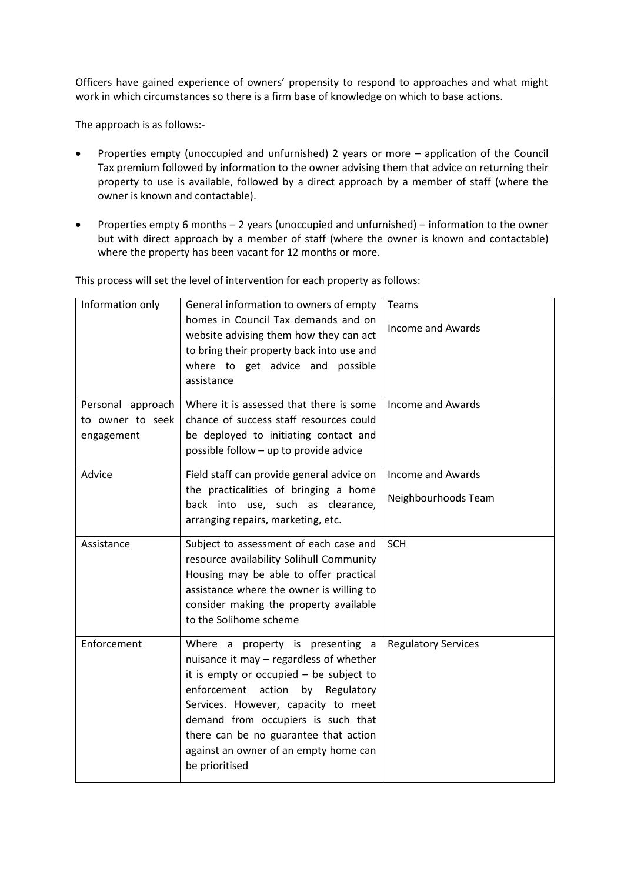Officers have gained experience of owners' propensity to respond to approaches and what might work in which circumstances so there is a firm base of knowledge on which to base actions.

The approach is as follows:-

- Properties empty (unoccupied and unfurnished) 2 years or more application of the Council Tax premium followed by information to the owner advising them that advice on returning their property to use is available, followed by a direct approach by a member of staff (where the owner is known and contactable).
- Properties empty 6 months 2 years (unoccupied and unfurnished) information to the owner but with direct approach by a member of staff (where the owner is known and contactable) where the property has been vacant for 12 months or more.

| Information only                                    | General information to owners of empty<br>homes in Council Tax demands and on<br>website advising them how they can act<br>to bring their property back into use and<br>where to get advice and possible<br>assistance                                                                                                                        | Teams<br><b>Income and Awards</b>        |
|-----------------------------------------------------|-----------------------------------------------------------------------------------------------------------------------------------------------------------------------------------------------------------------------------------------------------------------------------------------------------------------------------------------------|------------------------------------------|
| Personal approach<br>to owner to seek<br>engagement | Where it is assessed that there is some<br>chance of success staff resources could<br>be deployed to initiating contact and<br>possible follow - up to provide advice                                                                                                                                                                         | Income and Awards                        |
| Advice                                              | Field staff can provide general advice on<br>the practicalities of bringing a home<br>back into use, such as clearance,<br>arranging repairs, marketing, etc.                                                                                                                                                                                 | Income and Awards<br>Neighbourhoods Team |
| Assistance                                          | Subject to assessment of each case and<br>resource availability Solihull Community<br>Housing may be able to offer practical<br>assistance where the owner is willing to<br>consider making the property available<br>to the Solihome scheme                                                                                                  | <b>SCH</b>                               |
| Enforcement                                         | Where a property is presenting a<br>nuisance it may - regardless of whether<br>it is empty or occupied $-$ be subject to<br>enforcement action by Regulatory<br>Services. However, capacity to meet<br>demand from occupiers is such that<br>there can be no guarantee that action<br>against an owner of an empty home can<br>be prioritised | <b>Regulatory Services</b>               |

This process will set the level of intervention for each property as follows: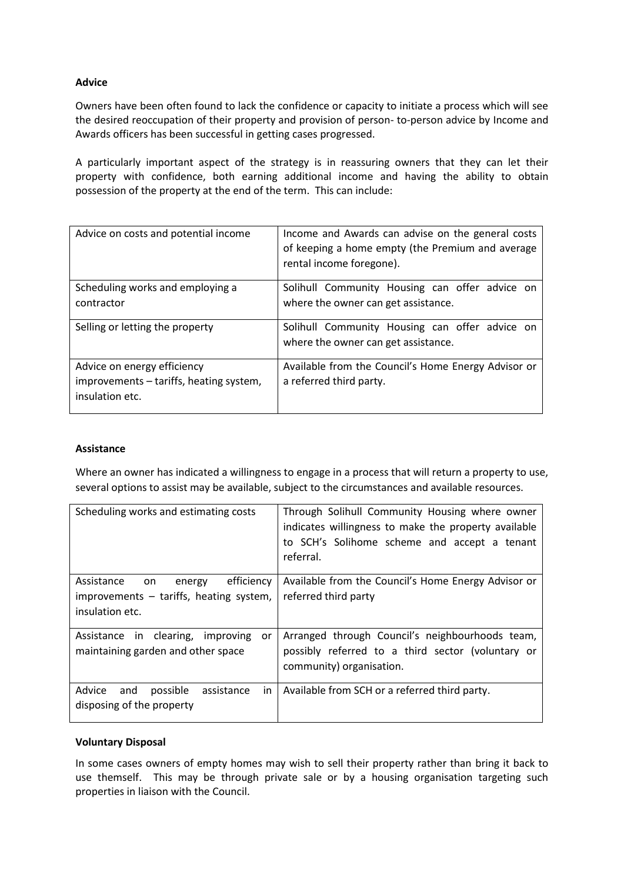# **Advice**

Owners have been often found to lack the confidence or capacity to initiate a process which will see the desired reoccupation of their property and provision of person- to-person advice by Income and Awards officers has been successful in getting cases progressed.

A particularly important aspect of the strategy is in reassuring owners that they can let their property with confidence, both earning additional income and having the ability to obtain possession of the property at the end of the term. This can include:

| Advice on costs and potential income                                                      | Income and Awards can advise on the general costs<br>of keeping a home empty (the Premium and average<br>rental income foregone). |
|-------------------------------------------------------------------------------------------|-----------------------------------------------------------------------------------------------------------------------------------|
| Scheduling works and employing a<br>contractor                                            | Solihull Community Housing can offer advice on<br>where the owner can get assistance.                                             |
| Selling or letting the property                                                           | Solihull Community Housing can offer advice on<br>where the owner can get assistance.                                             |
| Advice on energy efficiency<br>improvements – tariffs, heating system,<br>insulation etc. | Available from the Council's Home Energy Advisor or<br>a referred third party.                                                    |

## **Assistance**

Where an owner has indicated a willingness to engage in a process that will return a property to use, several options to assist may be available, subject to the circumstances and available resources.

| Scheduling works and estimating costs                                                                  | Through Solihull Community Housing where owner<br>indicates willingness to make the property available<br>to SCH's Solihome scheme and accept a tenant<br>referral. |
|--------------------------------------------------------------------------------------------------------|---------------------------------------------------------------------------------------------------------------------------------------------------------------------|
| efficiency<br>Assistance<br>on<br>energy<br>improvements - tariffs, heating system,<br>insulation etc. | Available from the Council's Home Energy Advisor or<br>referred third party                                                                                         |
| Assistance in clearing,<br>improving<br>or<br>maintaining garden and other space                       | Arranged through Council's neighbourhoods team,<br>possibly referred to a third sector (voluntary or<br>community) organisation.                                    |
| Advice<br>possible<br>assistance<br>in<br>and<br>disposing of the property                             | Available from SCH or a referred third party.                                                                                                                       |

## **Voluntary Disposal**

In some cases owners of empty homes may wish to sell their property rather than bring it back to use themself. This may be through private sale or by a housing organisation targeting such properties in liaison with the Council.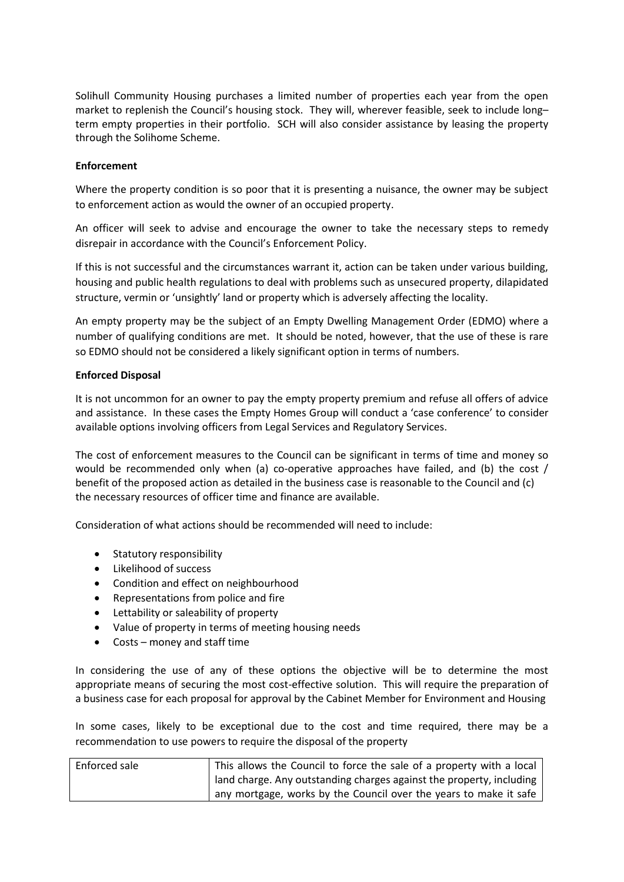Solihull Community Housing purchases a limited number of properties each year from the open market to replenish the Council's housing stock. They will, wherever feasible, seek to include long– term empty properties in their portfolio. SCH will also consider assistance by leasing the property through the Solihome Scheme.

## **Enforcement**

Where the property condition is so poor that it is presenting a nuisance, the owner may be subject to enforcement action as would the owner of an occupied property.

An officer will seek to advise and encourage the owner to take the necessary steps to remedy disrepair in accordance with the Council's Enforcement Policy.

If this is not successful and the circumstances warrant it, action can be taken under various building, housing and public health regulations to deal with problems such as unsecured property, dilapidated structure, vermin or 'unsightly' land or property which is adversely affecting the locality.

An empty property may be the subject of an Empty Dwelling Management Order (EDMO) where a number of qualifying conditions are met. It should be noted, however, that the use of these is rare so EDMO should not be considered a likely significant option in terms of numbers.

## **Enforced Disposal**

It is not uncommon for an owner to pay the empty property premium and refuse all offers of advice and assistance. In these cases the Empty Homes Group will conduct a 'case conference' to consider available options involving officers from Legal Services and Regulatory Services.

The cost of enforcement measures to the Council can be significant in terms of time and money so would be recommended only when (a) co-operative approaches have failed, and (b) the cost / benefit of the proposed action as detailed in the business case is reasonable to the Council and (c) the necessary resources of officer time and finance are available.

Consideration of what actions should be recommended will need to include:

- Statutory responsibility
- Likelihood of success
- Condition and effect on neighbourhood
- Representations from police and fire
- Lettability or saleability of property
- Value of property in terms of meeting housing needs
- Costs money and staff time

In considering the use of any of these options the objective will be to determine the most appropriate means of securing the most cost-effective solution. This will require the preparation of a business case for each proposal for approval by the Cabinet Member for Environment and Housing

In some cases, likely to be exceptional due to the cost and time required, there may be a recommendation to use powers to require the disposal of the property

| Enforced sale | This allows the Council to force the sale of a property with a local |
|---------------|----------------------------------------------------------------------|
|               | land charge. Any outstanding charges against the property, including |
|               | any mortgage, works by the Council over the years to make it safe    |